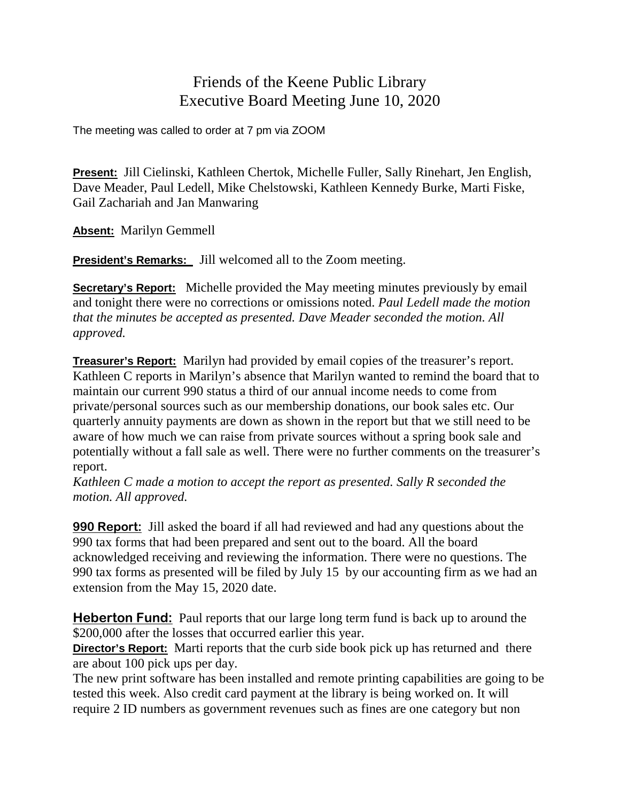## Friends of the Keene Public Library Executive Board Meeting June 10, 2020

The meeting was called to order at 7 pm via ZOOM

**Present:** Jill Cielinski, Kathleen Chertok, Michelle Fuller, Sally Rinehart, Jen English, Dave Meader, Paul Ledell, Mike Chelstowski, Kathleen Kennedy Burke, Marti Fiske, Gail Zachariah and Jan Manwaring

**Absent:** Marilyn Gemmell

**President's Remarks:** Jill welcomed all to the Zoom meeting.

**Secretary's Report:** Michelle provided the May meeting minutes previously by email and tonight there were no corrections or omissions noted. *Paul Ledell made the motion that the minutes be accepted as presented. Dave Meader seconded the motion. All approved.*

**Treasurer's Report:** Marilyn had provided by email copies of the treasurer's report. Kathleen C reports in Marilyn's absence that Marilyn wanted to remind the board that to maintain our current 990 status a third of our annual income needs to come from private/personal sources such as our membership donations, our book sales etc. Our quarterly annuity payments are down as shown in the report but that we still need to be aware of how much we can raise from private sources without a spring book sale and potentially without a fall sale as well. There were no further comments on the treasurer's report.

*Kathleen C made a motion to accept the report as presented. Sally R seconded the motion. All approved.*

**990 Report:** Jill asked the board if all had reviewed and had any questions about the 990 tax forms that had been prepared and sent out to the board. All the board acknowledged receiving and reviewing the information. There were no questions. The 990 tax forms as presented will be filed by July 15 by our accounting firm as we had an extension from the May 15, 2020 date.

**Heberton Fund:** Paul reports that our large long term fund is back up to around the \$200,000 after the losses that occurred earlier this year.

**Director's Report:** Marti reports that the curb side book pick up has returned and there are about 100 pick ups per day.

The new print software has been installed and remote printing capabilities are going to be tested this week. Also credit card payment at the library is being worked on. It will require 2 ID numbers as government revenues such as fines are one category but non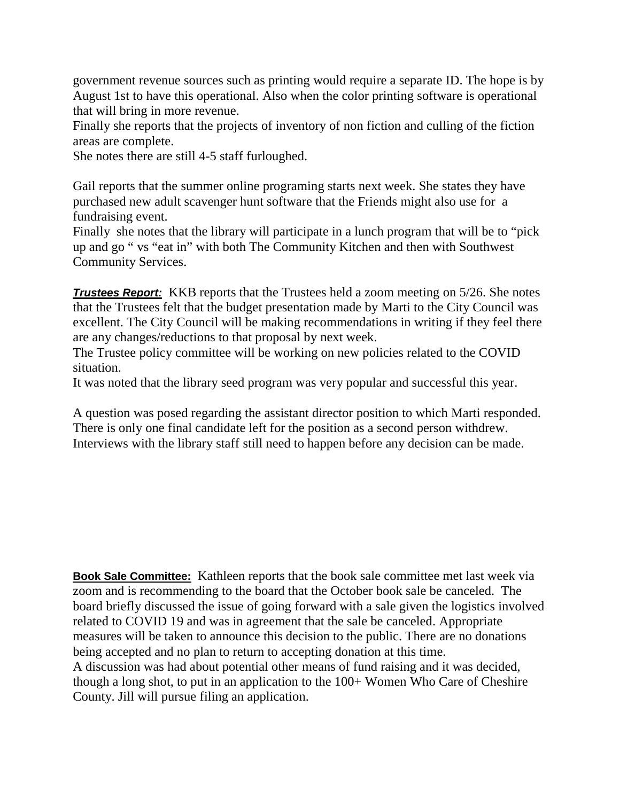government revenue sources such as printing would require a separate ID. The hope is by August 1st to have this operational. Also when the color printing software is operational that will bring in more revenue.

Finally she reports that the projects of inventory of non fiction and culling of the fiction areas are complete.

She notes there are still 4-5 staff furloughed.

Gail reports that the summer online programing starts next week. She states they have purchased new adult scavenger hunt software that the Friends might also use for a fundraising event.

Finally she notes that the library will participate in a lunch program that will be to "pick up and go " vs "eat in" with both The Community Kitchen and then with Southwest Community Services.

*Trustees Report:* KKB reports that the Trustees held a zoom meeting on 5/26. She notes that the Trustees felt that the budget presentation made by Marti to the City Council was excellent. The City Council will be making recommendations in writing if they feel there are any changes/reductions to that proposal by next week.

The Trustee policy committee will be working on new policies related to the COVID situation.

It was noted that the library seed program was very popular and successful this year.

A question was posed regarding the assistant director position to which Marti responded. There is only one final candidate left for the position as a second person withdrew. Interviews with the library staff still need to happen before any decision can be made.

**Book Sale Committee:** Kathleen reports that the book sale committee met last week via zoom and is recommending to the board that the October book sale be canceled. The board briefly discussed the issue of going forward with a sale given the logistics involved related to COVID 19 and was in agreement that the sale be canceled. Appropriate measures will be taken to announce this decision to the public. There are no donations being accepted and no plan to return to accepting donation at this time. A discussion was had about potential other means of fund raising and it was decided, though a long shot, to put in an application to the 100+ Women Who Care of Cheshire County. Jill will pursue filing an application.